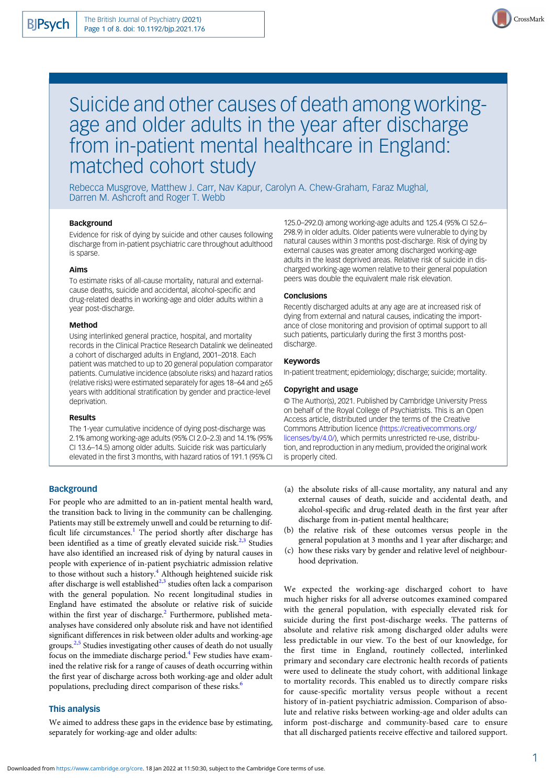

# Suicide and other causes of death among workingage and older adults in the year after discharge from in-patient mental healthcare in England: matched cohort study

Rebecca Musgrove, Matthew J. Carr, Nav Kapur, Carolyn A. Chew-Graham, Faraz Mughal, Darren M. Ashcroft and Roger T. Webb

## Background

Evidence for risk of dying by suicide and other causes following discharge from in-patient psychiatric care throughout adulthood is sparse.

## Aims

To estimate risks of all-cause mortality, natural and externalcause deaths, suicide and accidental, alcohol-specific and drug-related deaths in working-age and older adults within a year post-discharge.

## Method

Using interlinked general practice, hospital, and mortality records in the Clinical Practice Research Datalink we delineated a cohort of discharged adults in England, 2001–2018. Each patient was matched to up to 20 general population comparator patients. Cumulative incidence (absolute risks) and hazard ratios (relative risks) were estimated separately for ages 18–64 and ≥65 years with additional stratification by gender and practice-level deprivation.

#### Results

The 1-year cumulative incidence of dying post-discharge was 2.1% among working-age adults (95% CI 2.0–2.3) and 14.1% (95% CI 13.6–14.5) among older adults. Suicide risk was particularly elevated in the first 3 months, with hazard ratios of 191.1 (95% CI

## **Background**

For people who are admitted to an in-patient mental health ward, the transition back to living in the community can be challenging. Patients may still be extremely unwell and could be returning to dif-ficult life circumstances.<sup>[1](#page-7-0)</sup> The period shortly after discharge has been identified as a time of greatly elevated suicide risk. $2,3$  $2,3$  Studies have also identified an increased risk of dying by natural causes in people with experience of in-patient psychiatric admission relative to those without such a history.<sup>[4](#page-7-0)</sup> Although heightened suicide risk after discharge is well established $^{2,3}$  $^{2,3}$  $^{2,3}$  studies often lack a comparison with the general population. No recent longitudinal studies in England have estimated the absolute or relative risk of suicide within the first year of discharge.<sup>[2](#page-7-0)</sup> Furthermore, published metaanalyses have considered only absolute risk and have not identified significant differences in risk between older adults and working-age groups.<sup>[2](#page-7-0),[5](#page-7-0)</sup> Studies investigating other causes of death do not usually focus on the immediate discharge period.<sup>4</sup> Few studies have examined the relative risk for a range of causes of death occurring within the first year of discharge across both working-age and older adult populations, precluding direct comparison of these risks.<sup>[6](#page-7-0)</sup>

# This analysis

We aimed to address these gaps in the evidence base by estimating, separately for working-age and older adults:

125.0–292.0) among working-age adults and 125.4 (95% CI 52.6– 298.9) in older adults. Older patients were vulnerable to dying by natural causes within 3 months post-discharge. Risk of dying by external causes was greater among discharged working-age adults in the least deprived areas. Relative risk of suicide in discharged working-age women relative to their general population peers was double the equivalent male risk elevation.

## **Conclusions**

Recently discharged adults at any age are at increased risk of dying from external and natural causes, indicating the importance of close monitoring and provision of optimal support to all such patients, particularly during the first 3 months postdischarge.

#### Keywords

In-patient treatment; epidemiology; discharge; suicide; mortality.

#### Copyright and usage

© The Author(s), 2021. Published by Cambridge University Press on behalf of the Royal College of Psychiatrists. This is an Open Access article, distributed under the terms of the Creative Commons Attribution licence [\(https://creativecommons.org/](https://creativecommons.org/licenses/by/4.0/) [licenses/by/4.0/](https://creativecommons.org/licenses/by/4.0/)), which permits unrestricted re-use, distribution, and reproduction in any medium, provided the original work is properly cited.

- (a) the absolute risks of all-cause mortality, any natural and any external causes of death, suicide and accidental death, and alcohol-specific and drug-related death in the first year after discharge from in-patient mental healthcare;
- (b) the relative risk of these outcomes versus people in the general population at 3 months and 1 year after discharge; and
- (c) how these risks vary by gender and relative level of neighbourhood deprivation.

We expected the working-age discharged cohort to have much higher risks for all adverse outcomes examined compared with the general population, with especially elevated risk for suicide during the first post-discharge weeks. The patterns of absolute and relative risk among discharged older adults were less predictable in our view. To the best of our knowledge, for the first time in England, routinely collected, interlinked primary and secondary care electronic health records of patients were used to delineate the study cohort, with additional linkage to mortality records. This enabled us to directly compare risks for cause-specific mortality versus people without a recent history of in-patient psychiatric admission. Comparison of absolute and relative risks between working-age and older adults can inform post-discharge and community-based care to ensure that all discharged patients receive effective and tailored support.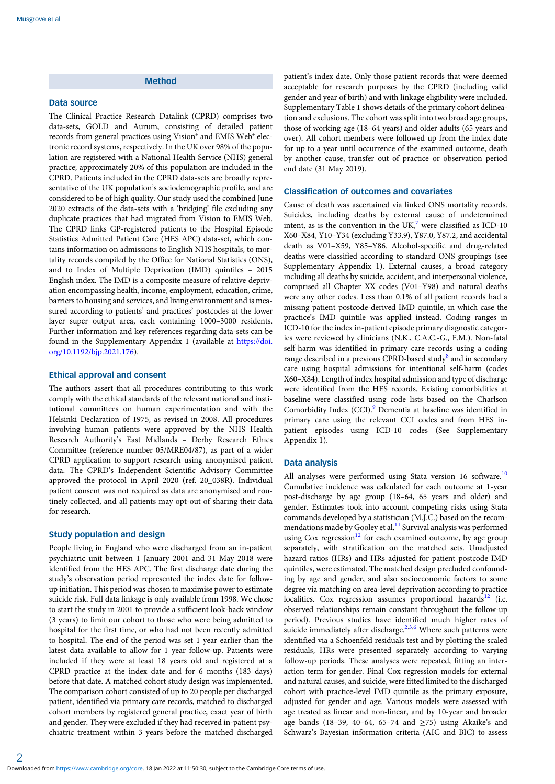# Method

#### Data source

The Clinical Practice Research Datalink (CPRD) comprises two data-sets, GOLD and Aurum, consisting of detailed patient records from general practices using Vision® and EMIS Web® electronic record systems, respectively. In the UK over 98% of the population are registered with a National Health Service (NHS) general practice; approximately 20% of this population are included in the CPRD. Patients included in the CPRD data-sets are broadly representative of the UK population's sociodemographic profile, and are considered to be of high quality. Our study used the combined June 2020 extracts of the data-sets with a 'bridging' file excluding any duplicate practices that had migrated from Vision to EMIS Web. The CPRD links GP-registered patients to the Hospital Episode Statistics Admitted Patient Care (HES APC) data-set, which contains information on admissions to English NHS hospitals, to mortality records compiled by the Office for National Statistics (ONS), and to Index of Multiple Deprivation (IMD) quintiles – 2015 English index. The IMD is a composite measure of relative deprivation encompassing health, income, employment, education, crime, barriers to housing and services, and living environment and is measured according to patients' and practices' postcodes at the lower layer super output area, each containing 1000–3000 residents. Further information and key references regarding data-sets can be found in the Supplementary Appendix 1 (available at [https://doi.](https://doi.org/10.1192/bjp.2021.176) [org/10.1192/bjp.2021.176\)](https://doi.org/10.1192/bjp.2021.176).

## Ethical approval and consent

The authors assert that all procedures contributing to this work comply with the ethical standards of the relevant national and institutional committees on human experimentation and with the Helsinki Declaration of 1975, as revised in 2008. All procedures involving human patients were approved by the NHS Health Research Authority's East Midlands – Derby Research Ethics Committee (reference number 05/MRE04/87), as part of a wider CPRD application to support research using anonymised patient data. The CPRD's Independent Scientific Advisory Committee approved the protocol in April 2020 (ref. 20\_038R). Individual patient consent was not required as data are anonymised and routinely collected, and all patients may opt-out of sharing their data for research.

## Study population and design

People living in England who were discharged from an in-patient psychiatric unit between 1 January 2001 and 31 May 2018 were identified from the HES APC. The first discharge date during the study's observation period represented the index date for followup initiation. This period was chosen to maximise power to estimate suicide risk. Full data linkage is only available from 1998. We chose to start the study in 2001 to provide a sufficient look-back window (3 years) to limit our cohort to those who were being admitted to hospital for the first time, or who had not been recently admitted to hospital. The end of the period was set 1 year earlier than the latest data available to allow for 1 year follow-up. Patients were included if they were at least 18 years old and registered at a CPRD practice at the index date and for 6 months (183 days) before that date. A matched cohort study design was implemented. The comparison cohort consisted of up to 20 people per discharged patient, identified via primary care records, matched to discharged cohort members by registered general practice, exact year of birth and gender. They were excluded if they had received in-patient psychiatric treatment within 3 years before the matched discharged

patient's index date. Only those patient records that were deemed acceptable for research purposes by the CPRD (including valid gender and year of birth) and with linkage eligibility were included. Supplementary Table 1 shows details of the primary cohort delineation and exclusions. The cohort was split into two broad age groups, those of working-age (18–64 years) and older adults (65 years and over). All cohort members were followed up from the index date for up to a year until occurrence of the examined outcome, death by another cause, transfer out of practice or observation period end date (31 May 2019).

## Classification of outcomes and covariates

Cause of death was ascertained via linked ONS mortality records. Suicides, including deaths by external cause of undetermined intent, as is the convention in the UK, $7$  were classified as ICD-10 X60–X84, Y10–Y34 (excluding Y33.9), Y87.0, Y87.2, and accidental death as V01–X59, Y85–Y86. Alcohol-specific and drug-related deaths were classified according to standard ONS groupings (see Supplementary Appendix 1). External causes, a broad category including all deaths by suicide, accident, and interpersonal violence, comprised all Chapter XX codes (V01–Y98) and natural deaths were any other codes. Less than 0.1% of all patient records had a missing patient postcode-derived IMD quintile, in which case the practice's IMD quintile was applied instead. Coding ranges in ICD-10 for the index in-patient episode primary diagnostic categories were reviewed by clinicians (N.K., C.A.C.-G., F.M.). Non-fatal self-harm was identified in primary care records using a coding range described in a previous CPRD-based study $\delta$  and in secondary care using hospital admissions for intentional self-harm (codes X60–X84). Length of index hospital admission and type of discharge were identified from the HES records. Existing comorbidities at baseline were classified using code lists based on the Charlson Comorbidity Index (CCI).<sup>[9](#page-7-0)</sup> Dementia at baseline was identified in primary care using the relevant CCI codes and from HES inpatient episodes using ICD-10 codes (See Supplementary Appendix 1).

#### Data analysis

All analyses were performed using Stata version 16 software.<sup>[10](#page-7-0)</sup> Cumulative incidence was calculated for each outcome at 1-year post-discharge by age group (18–64, 65 years and older) and gender. Estimates took into account competing risks using Stata commands developed by a statistician (M.J.C.) based on the recommendations made by Gooley et al.<sup>11</sup> Survival analysis was performed using Cox regression<sup>[12](#page-7-0)</sup> for each examined outcome, by age group separately, with stratification on the matched sets. Unadjusted hazard ratios (HRs) and HRs adjusted for patient postcode IMD quintiles, were estimated. The matched design precluded confounding by age and gender, and also socioeconomic factors to some degree via matching on area-level deprivation according to practice localities. Cox regression assumes proportional hazards $12$  (i.e. observed relationships remain constant throughout the follow-up period). Previous studies have identified much higher rates of suicide immediately after discharge.<sup>2,[3](#page-7-0),[6](#page-7-0)</sup> Where such patterns were identified via a Schoenfeld residuals test and by plotting the scaled residuals, HRs were presented separately according to varying follow-up periods. These analyses were repeated, fitting an interaction term for gender. Final Cox regression models for external and natural causes, and suicide, were fitted limited to the discharged cohort with practice-level IMD quintile as the primary exposure, adjusted for gender and age. Various models were assessed with age treated as linear and non-linear, and by 10-year and broader age bands (18–39, 40–64, 65–74 and ≥75) using Akaike's and Schwarz's Bayesian information criteria (AIC and BIC) to assess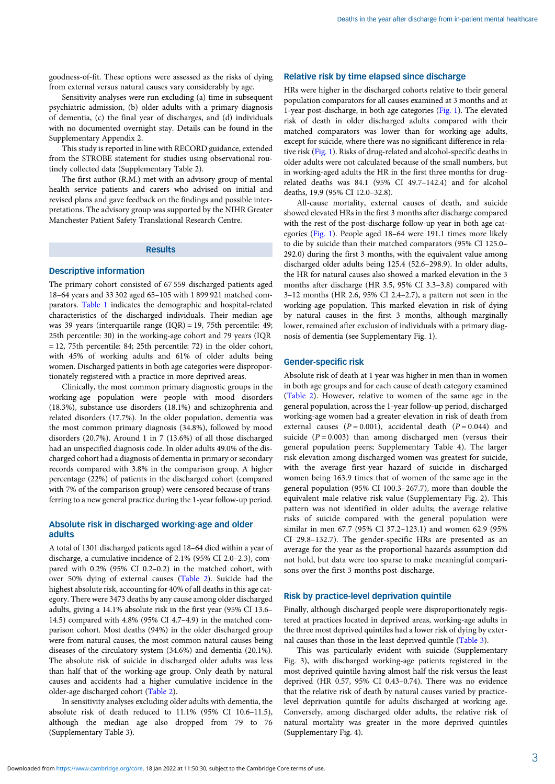goodness-of-fit. These options were assessed as the risks of dying from external versus natural causes vary considerably by age.

Sensitivity analyses were run excluding (a) time in subsequent psychiatric admission, (b) older adults with a primary diagnosis of dementia, (c) the final year of discharges, and (d) individuals with no documented overnight stay. Details can be found in the Supplementary Appendix 2.

This study is reported in line with RECORD guidance, extended from the STROBE statement for studies using observational routinely collected data (Supplementary Table 2).

The first author (R.M.) met with an advisory group of mental health service patients and carers who advised on initial and revised plans and gave feedback on the findings and possible interpretations. The advisory group was supported by the NIHR Greater Manchester Patient Safety Translational Research Centre.

## Results

## Descriptive information

The primary cohort consisted of 67 559 discharged patients aged 18–64 years and 33 302 aged 65–105 with 1 899 921 matched comparators. [Table 1](#page-3-0) indicates the demographic and hospital-related characteristics of the discharged individuals. Their median age was 39 years (interquartile range (IQR) = 19, 75th percentile: 49; 25th percentile: 30) in the working-age cohort and 79 years (IQR = 12, 75th percentile: 84; 25th percentile: 72) in the older cohort, with 45% of working adults and 61% of older adults being women. Discharged patients in both age categories were disproportionately registered with a practice in more deprived areas.

Clinically, the most common primary diagnostic groups in the working-age population were people with mood disorders (18.3%), substance use disorders (18.1%) and schizophrenia and related disorders (17.7%). In the older population, dementia was the most common primary diagnosis (34.8%), followed by mood disorders (20.7%). Around 1 in 7 (13.6%) of all those discharged had an unspecified diagnosis code. In older adults 49.0% of the discharged cohort had a diagnosis of dementia in primary or secondary records compared with 3.8% in the comparison group. A higher percentage (22%) of patients in the discharged cohort (compared with 7% of the comparison group) were censored because of transferring to a new general practice during the 1-year follow-up period.

## Absolute risk in discharged working-age and older adults

A total of 1301 discharged patients aged 18–64 died within a year of discharge, a cumulative incidence of 2.1% (95% CI 2.0–2.3), compared with 0.2% (95% CI 0.2–0.2) in the matched cohort, with over 50% dying of external causes ([Table 2\)](#page-4-0). Suicide had the highest absolute risk, accounting for 40% of all deaths in this age category. There were 3473 deaths by any cause among older discharged adults, giving a 14.1% absolute risk in the first year (95% CI 13.6– 14.5) compared with 4.8% (95% CI 4.7–4.9) in the matched comparison cohort. Most deaths (94%) in the older discharged group were from natural causes, the most common natural causes being diseases of the circulatory system (34.6%) and dementia (20.1%). The absolute risk of suicide in discharged older adults was less than half that of the working-age group. Only death by natural causes and accidents had a higher cumulative incidence in the older-age discharged cohort ([Table 2](#page-4-0)).

In sensitivity analyses excluding older adults with dementia, the absolute risk of death reduced to 11.1% (95% CI 10.6–11.5), although the median age also dropped from 79 to 76 (Supplementary Table 3).

# Relative risk by time elapsed since discharge

HRs were higher in the discharged cohorts relative to their general population comparators for all causes examined at 3 months and at 1-year post-discharge, in both age categories [\(Fig. 1](#page-5-0)). The elevated risk of death in older discharged adults compared with their matched comparators was lower than for working-age adults, except for suicide, where there was no significant difference in relative risk [\(Fig. 1\)](#page-5-0). Risks of drug-related and alcohol-specific deaths in older adults were not calculated because of the small numbers, but in working-aged adults the HR in the first three months for drugrelated deaths was 84.1 (95% CI 49.7–142.4) and for alcohol deaths, 19.9 (95% CI 12.0–32.8).

All-cause mortality, external causes of death, and suicide showed elevated HRs in the first 3 months after discharge compared with the rest of the post-discharge follow-up year in both age categories ([Fig. 1\)](#page-5-0). People aged 18–64 were 191.1 times more likely to die by suicide than their matched comparators (95% CI 125.0– 292.0) during the first 3 months, with the equivalent value among discharged older adults being 125.4 (52.6–298.9). In older adults, the HR for natural causes also showed a marked elevation in the 3 months after discharge (HR 3.5, 95% CI 3.3–3.8) compared with 3–12 months (HR 2.6, 95% CI 2.4–2.7), a pattern not seen in the working-age population. This marked elevation in risk of dying by natural causes in the first 3 months, although marginally lower, remained after exclusion of individuals with a primary diagnosis of dementia (see Supplementary Fig. 1).

#### Gender-specific risk

Absolute risk of death at 1 year was higher in men than in women in both age groups and for each cause of death category examined ([Table 2](#page-4-0)). However, relative to women of the same age in the general population, across the 1-year follow-up period, discharged working-age women had a greater elevation in risk of death from external causes  $(P = 0.001)$ , accidental death  $(P = 0.044)$  and suicide ( $P = 0.003$ ) than among discharged men (versus their general population peers; Supplementary Table 4). The larger risk elevation among discharged women was greatest for suicide, with the average first-year hazard of suicide in discharged women being 163.9 times that of women of the same age in the general population (95% CI 100.3–267.7), more than double the equivalent male relative risk value (Supplementary Fig. 2). This pattern was not identified in older adults; the average relative risks of suicide compared with the general population were similar in men 67.7 (95% CI 37.2–123.1) and women 62.9 (95% CI 29.8–132.7). The gender-specific HRs are presented as an average for the year as the proportional hazards assumption did not hold, but data were too sparse to make meaningful comparisons over the first 3 months post-discharge.

## Risk by practice-level deprivation quintile

Finally, although discharged people were disproportionately registered at practices located in deprived areas, working-age adults in the three most deprived quintiles had a lower risk of dying by external causes than those in the least deprived quintile [\(Table 3](#page-5-0)).

This was particularly evident with suicide (Supplementary Fig. 3), with discharged working-age patients registered in the most deprived quintile having almost half the risk versus the least deprived (HR 0.57, 95% CI 0.43–0.74). There was no evidence that the relative risk of death by natural causes varied by practicelevel deprivation quintile for adults discharged at working age. Conversely, among discharged older adults, the relative risk of natural mortality was greater in the more deprived quintiles (Supplementary Fig. 4).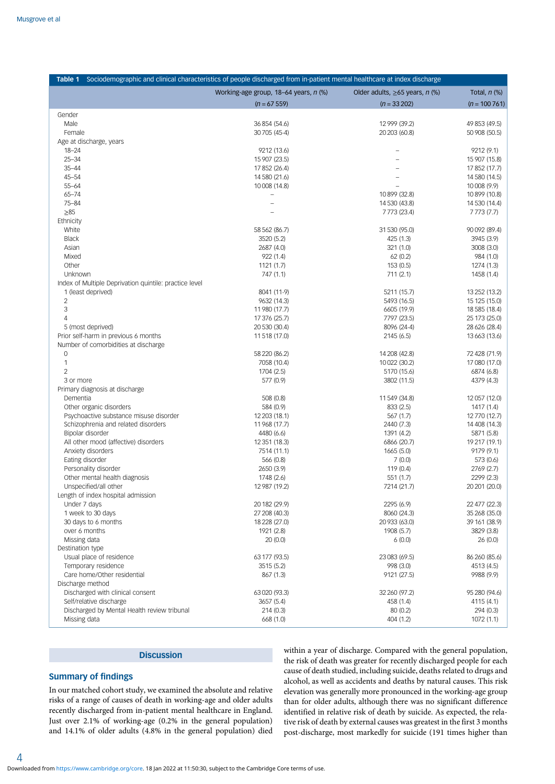<span id="page-3-0"></span>

| Table 1                                                | Sociodemographic and clinical characteristics of people discharged from in-patient mental healthcare at index discharge |                                         |                                |
|--------------------------------------------------------|-------------------------------------------------------------------------------------------------------------------------|-----------------------------------------|--------------------------------|
|                                                        | Working-age group, 18-64 years, n (%)                                                                                   | Older adults, $\geq$ 65 years, n $(\%)$ | Total, $n$ $%$                 |
|                                                        | $(n = 67 559)$                                                                                                          | $(n = 33 202)$                          | $(n = 100761)$                 |
| Gender                                                 |                                                                                                                         |                                         |                                |
| Male                                                   | 36 854 (54.6)                                                                                                           | 12 999 (39.2)                           | 49 853 (49.5)                  |
| Female                                                 | 30 705 (45-4)                                                                                                           | 20 203 (60.8)                           | 50 908 (50.5)                  |
| Age at discharge, years                                |                                                                                                                         |                                         |                                |
| $18 - 24$                                              | 9212 (13.6)                                                                                                             |                                         | 9212 (9.1)                     |
| $25 - 34$                                              | 15 907 (23.5)                                                                                                           | ÷                                       | 15 907 (15.8)                  |
| $35 - 44$                                              | 17 852 (26.4)                                                                                                           |                                         | 17 852 (17.7)                  |
| $45 - 54$                                              | 14 580 (21.6)                                                                                                           |                                         | 14 580 (14.5)                  |
| $55 - 64$                                              | 10 008 (14.8)                                                                                                           |                                         | 10 008 (9.9)                   |
| $65 - 74$<br>$75 - 84$                                 | $\overline{\phantom{0}}$<br>$\overline{\phantom{0}}$                                                                    | 10 899 (32.8)                           | 10 899 (10.8)<br>14 530 (14.4) |
| $\geq 85$                                              |                                                                                                                         | 14 530 (43.8)<br>7773 (23.4)            | 7773 (7.7)                     |
| Ethnicity                                              |                                                                                                                         |                                         |                                |
| White                                                  | 58 562 (86.7)                                                                                                           | 31 530 (95.0)                           | 90 092 (89.4)                  |
| <b>Black</b>                                           | 3520 (5.2)                                                                                                              | 425 (1.3)                               | 3945 (3.9)                     |
| Asian                                                  | 2687 (4.0)                                                                                                              | 321 (1.0)                               | 3008 (3.0)                     |
| Mixed                                                  | 922 (1.4)                                                                                                               | 62(0.2)                                 | 984 (1.0)                      |
| Other                                                  | 1121(1.7)                                                                                                               | 153(0.5)                                | 1274 (1.3)                     |
| Unknown                                                | 747 (1.1)                                                                                                               | 711(2.1)                                | 1458 (1.4)                     |
| Index of Multiple Deprivation quintile: practice level |                                                                                                                         |                                         |                                |
| 1 (least deprived)                                     | 8041 (11.9)                                                                                                             | 5211 (15.7)                             | 13 252 (13.2)                  |
| $\overline{2}$                                         | 9632 (14.3)                                                                                                             | 5493 (16.5)                             | 15 125 (15.0)                  |
| 3                                                      | 11 980 (17.7)                                                                                                           | 6605 (19.9)                             | 18 585 (18.4)                  |
| 4                                                      | 17 376 (25.7)                                                                                                           | 7797 (23.5)                             | 25 173 (25.0)                  |
| 5 (most deprived)                                      | 20 530 (30.4)                                                                                                           | 8096 (24-4)                             | 28 626 (28.4)                  |
| Prior self-harm in previous 6 months                   | 11 518 (17.0)                                                                                                           | 2145 (6.5)                              | 13 663 (13.6)                  |
| Number of comorbidities at discharge                   |                                                                                                                         |                                         |                                |
| $\mathbf 0$                                            | 58 220 (86.2)                                                                                                           | 14 208 (42.8)                           | 72 428 (71.9)                  |
| $\mathbf{1}$                                           | 7058 (10.4)                                                                                                             | 10 022 (30.2)                           | 17 080 (17.0)                  |
| $\overline{2}$                                         | 1704 (2.5)                                                                                                              | 5170 (15.6)                             | 6874 (6.8)                     |
| 3 or more                                              | 577 (0.9)                                                                                                               | 3802 (11.5)                             | 4379 (4.3)                     |
| Primary diagnosis at discharge                         |                                                                                                                         |                                         |                                |
| Dementia                                               | 508 (0.8)                                                                                                               | 11 549 (34.8)                           | 12 057 (12.0)                  |
| Other organic disorders                                | 584 (0.9)                                                                                                               | 833 (2.5)                               | 1417 (1.4)                     |
| Psychoactive substance misuse disorder                 | 12 203 (18.1)                                                                                                           | 567 (1.7)                               | 12 770 (12.7)                  |
| Schizophrenia and related disorders                    | 11 968 (17.7)                                                                                                           | 2440 (7.3)                              | 14 408 (14.3)                  |
| Bipolar disorder                                       | 4480 (6.6)                                                                                                              | 1391 (4.2)                              | 5871 (5.8)                     |
| All other mood (affective) disorders                   | 12 351 (18.3)                                                                                                           | 6866 (20.7)                             | 19 217 (19.1)                  |
| Anxiety disorders                                      | 7514 (11.1)                                                                                                             | 1665(5.0)                               | 9179 (9.1)                     |
| Eating disorder<br>Personality disorder                | 566 (0.8)<br>2650 (3.9)                                                                                                 | 7(0.0)<br>119(0.4)                      | 573 (0.6)<br>2769 (2.7)        |
| Other mental health diagnosis                          | 1748 (2.6)                                                                                                              | 551 (1.7)                               | 2299 (2.3)                     |
| Unspecified/all other                                  | 12 987 (19.2)                                                                                                           | 7214 (21.7)                             | 20 201 (20.0)                  |
| Length of index hospital admission                     |                                                                                                                         |                                         |                                |
| Under 7 days                                           | 20 182 (29.9)                                                                                                           | 2295 (6.9)                              | 22 477 (22.3)                  |
| 1 week to 30 days                                      | 27 208 (40.3)                                                                                                           | 8060 (24.3)                             | 35 268 (35.0)                  |
| 30 days to 6 months                                    | 18 228 (27.0)                                                                                                           | 20 933 (63.0)                           | 39 161 (38.9)                  |
| over 6 months                                          | 1921 (2.8)                                                                                                              | 1908 (5.7)                              | 3829 (3.8)                     |
| Missing data                                           | 20(0.0)                                                                                                                 | 6(0.0)                                  | 26(0.0)                        |
| Destination type                                       |                                                                                                                         |                                         |                                |
| Usual place of residence                               | 63 177 (93.5)                                                                                                           | 23 083 (69.5)                           | 86 260 (85.6)                  |
| Temporary residence                                    | 3515 (5.2)                                                                                                              | 998 (3.0)                               | 4513 (4.5)                     |
| Care home/Other residential                            | 867 (1.3)                                                                                                               | 9121 (27.5)                             | 9988 (9.9)                     |
| Discharge method                                       |                                                                                                                         |                                         |                                |
| Discharged with clinical consent                       | 63020 (93.3)                                                                                                            | 32 260 (97.2)                           | 95 280 (94.6)                  |
| Self/relative discharge                                | 3657 (5.4)                                                                                                              | 458 (1.4)                               | 4115 (4.1)                     |
| Discharged by Mental Health review tribunal            | 214(0.3)                                                                                                                | 80(0.2)                                 | 294 (0.3)                      |
| Missing data                                           | 668 (1.0)                                                                                                               | 404 (1.2)                               | 1072 (1.1)                     |
|                                                        |                                                                                                                         |                                         |                                |

# **Discussion**

## Summary of findings

In our matched cohort study, we examined the absolute and relative risks of a range of causes of death in working-age and older adults recently discharged from in-patient mental healthcare in England. Just over 2.1% of working-age (0.2% in the general population) and 14.1% of older adults (4.8% in the general population) died

within a year of discharge. Compared with the general population, the risk of death was greater for recently discharged people for each cause of death studied, including suicide, deaths related to drugs and alcohol, as well as accidents and deaths by natural causes. This risk elevation was generally more pronounced in the working-age group than for older adults, although there was no significant difference identified in relative risk of death by suicide. As expected, the relative risk of death by external causes was greatest in the first 3 months post-discharge, most markedly for suicide (191 times higher than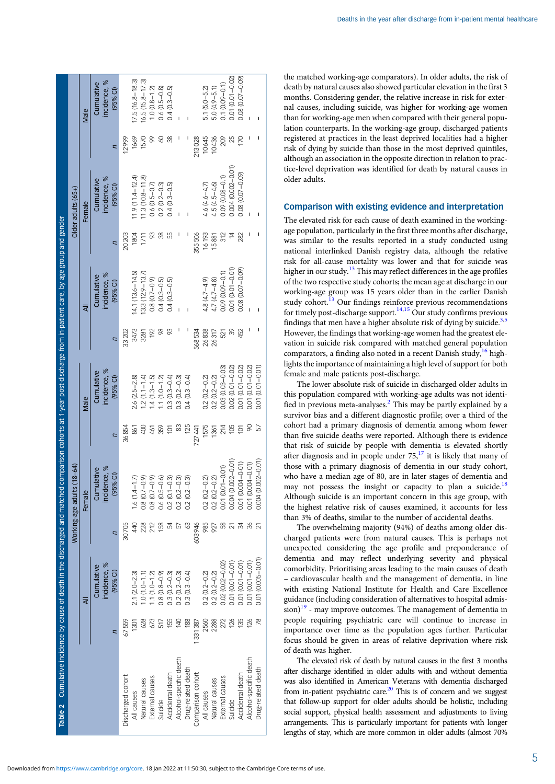<span id="page-4-0"></span>

| Table 2 Cumulative incidence by cause of death in the discharged and match |         |                                          |                 |                                          |                | ed comparison cohorts at 1-year post-discharge from in-patient care, by age group and gender |        |                                          |        |                                          |                |                                          |
|----------------------------------------------------------------------------|---------|------------------------------------------|-----------------|------------------------------------------|----------------|----------------------------------------------------------------------------------------------|--------|------------------------------------------|--------|------------------------------------------|----------------|------------------------------------------|
|                                                                            |         |                                          | Working-age adu | $its(18-64)$                             |                |                                                                                              |        |                                          |        | Older adults $(65+)$                     |                |                                          |
|                                                                            |         | ₹                                        |                 | Female                                   |                | Male                                                                                         |        | ₹                                        |        | Female                                   |                | Male                                     |
|                                                                            | n       | incidence, %<br>Cumulative<br>$(95%$ CI) | Ω               | incidence, %<br>Cumulative<br>$(95%$ CI) | n              | incidence, %<br>Cumulative<br>$(95%$ CI)                                                     | Ξ      | incidence, %<br>Cumulative<br>$(95%$ CI) |        | incidence, %<br>Cumulative<br>$(95%$ CI) | $\overline{z}$ | incidence, %<br>Cumulative<br>$(95%$ CI) |
| Discharged cohort                                                          | 67559   |                                          | 30705           |                                          | 36854          |                                                                                              | 33 202 |                                          | 20203  |                                          | 12999          |                                          |
| All causes                                                                 | 1301    | $2.1 (2.0 - 2.3)$                        | 440             | $1.6(1.4 - 1.7)$                         | 861            | $2.6(2.5 - 2.8)$                                                                             | 3473   | $14.1(13.6 - 14.5)$                      | 1804   | $11.9(11.4 - 12.4)$                      | 1669           | $17.5(16.8 - 18.3)$                      |
| Natural causes                                                             | 628     | $1.0(1.0 - 1.1)$                         |                 | $0.8(0.7-0.9)$                           |                | $1.2(1.1 - 1.4)$                                                                             | 3281   | $13.3(12.9 - 13.7)$                      | 1711   | $11.3(10.8 - 11.8)$                      | 1570           | $16.5(15.8 - 17.3)$                      |
| External causes                                                            |         | $.1(1.0 - 1.2)$                          | 212             | $0.8(0.7-0.9)$                           | 461            | $.4(1.3-1.5)$                                                                                | 192    | $0.8(0.7-0.9)$                           | 83     | $0.6(0.5 - 0.7)$                         | ର              | $1.0 (0.8 - 1.2)$                        |
| Suicide                                                                    |         | $0.8(0.8-0.9)$                           |                 | $0.6(0.5-0.6)$                           | 359            | $1.1(1.0 - 1.2)$                                                                             | 8      | $0.4(0.3 - 0.5)$                         | 88     | $0.2(0.2-0.3)$                           |                | $0.6(0.5-0.8)$                           |
| Accidental death                                                           | 155     | $0.3(0.2 - 0.3)$                         |                 | $0.2(0.1 - 0.3)$                         | ≌              | $0.3(0.3-0.4)$                                                                               |        | $0.4(0.3 - 0.5)$                         | 55     | $0.4(0.3 - 0.5)$                         | 38             | $0.4(0.3 - 0.5)$                         |
| Alcohol-specific death                                                     | 140     | $0.2(0.2-0.3)$                           |                 | $0.2(0.2-0.3)$                           | 83             | $0.3(0.2 - 0.3)$                                                                             |        |                                          |        |                                          |                |                                          |
| Drug-related death                                                         | 188     | $0.3(0.3 - 0.4)$                         |                 | $0.2(0.2-0.3)$                           | 125            | $0.4(0.3-0.4)$                                                                               |        |                                          |        |                                          |                |                                          |
| Comparison cohort                                                          | 1331387 |                                          | 603946          |                                          | 727441         |                                                                                              | 568534 |                                          | 355506 |                                          | 213028         |                                          |
| All causes                                                                 | 2560    | $0.2(0.2 - 0.2)$                         | 985             | $0.2(0.2 - 0.2)$                         | 1575           | $0.2(0.2-0.2)$                                                                               | 26838  | $4.8(4.7 - 4.9)$                         | 16193  | 4.6 (4.6–4.7)                            | 10645          | 5.1 (5.0-5.2)                            |
| Natural causes                                                             | 2288    | $0.2(0.2 - 0.2)$                         | 927             | $0.2(0.2 - 0.2)$                         | 136'           | $0.2(0.2 - 0.2)$                                                                             | 26317  | $4.7(4.7 - 4.8)$                         | 15881  | $4.5(4.5 - 4.6)$                         | 10436          | $5.0(4.9 - 5.1)$                         |
| External causes                                                            |         | 0.02 (0.02 - 0.02                        |                 | 0.01 (0.01-0.01)                         | 214            | $0.03(0.03 - 0.03)$                                                                          | 521    | $0.09(0.09 - 0.1)$                       | 312    | $0.09(0.08 - 0.1)$                       | 209            | $0.1(0.09 - 0.1)$                        |
| Suicide                                                                    |         | 0.01 (0.01 - 0.01)                       |                 | $(0.002 - 0.01)$<br>0.004                | 105            | $0.02$ $(0.01 - 0.02)$                                                                       | ℅      | $0.01(0.01 - 0.01)$                      |        | 0.004 (0.002-0.01)                       | 25             | 0.01 (0.01-0.02)                         |
| Accidental death                                                           | 135     | $0.01(0.01 - 0.01)$                      |                 | 0.01 (0.004-0.01)                        | $\overline{5}$ | $0.01$ $(0.01 - 0.02)$                                                                       | 452    | $0.08(0.07 - 0.09)$                      | 282    | $0.08$ $(0.07 - 0.09)$                   | 170            | 0.08 (0.07-0.09)                         |
| Alcohol-specific death                                                     | 126     | 0.01 (0.01-0.01)                         |                 | 0.01 (0.004-0.01)                        |                | $0.01(0.01 - 0.02)$                                                                          |        |                                          |        |                                          |                |                                          |
| Drug-related death                                                         | 78      | 0.01 (0.005-0.01)                        |                 | $(0.002 - 0.01)$<br>0.004                | 57             | 0.01 (0.01-0.01)                                                                             |        |                                          |        |                                          |                |                                          |

the matched working-age comparators). In older adults, the risk of death by natural causes also showed particular elevation in the first 3 months. Considering gender, the relative increase in risk for external causes, including suicide, was higher for working-age women than for working-age men when compared with their general population counterparts. In the working-age group, discharged patients registered at practices in the least deprived localities had a higher risk of dying by suicide than those in the most deprived quintiles, although an association in the opposite direction in relation to practice-level deprivation was identified for death by natural causes in older adults.

## Comparison with existing evidence and interpretation

The elevated risk for each cause of death examined in the workingage population, particularly in the first three months after discharge, was similar to the results reported in a study conducted using national interlinked Danish registry data, although the relative risk for all-cause mortality was lower and that for suicide was higher in our study.<sup>[13](#page-7-0)</sup> This may reflect differences in the age profiles of the two respective study cohorts; the mean age at discharge in our working-age group was 15 years older than in the earlier Danish study cohort.<sup>[13](#page-7-0)</sup> Our findings reinforce previous recommendations for timely post-discharge support.<sup>[14,15](#page-7-0)</sup> Our study confirms previous findings that men have a higher absolute risk of dying by suicide. $3,5$ However, the findings that working-age women had the greatest elevation in suicide risk compared with matched general population comparators, a finding also noted in a recent Danish study,  $^{16}$  $^{16}$  $^{16}$  highlights the importance of maintaining a high level of support for both female and male patients post-discharge.

The lower absolute risk of suicide in discharged older adults in this population compared with working-age adults was not identified in previous meta-analyses. $<sup>2</sup>$  $<sup>2</sup>$  $<sup>2</sup>$  This may be partly explained by a</sup> survivor bias and a different diagnostic profile; over a third of the cohort had a primary diagnosis of dementia among whom fewer than five suicide deaths were reported. Although there is evidence that risk of suicide by people with dementia is elevated shortly after diagnosis and in people under  $75$ ,<sup>17</sup> it is likely that many of those with a primary diagnosis of dementia in our study cohort, who have a median age of 80, are in later stages of dementia and may not possess the insight or capacity to plan a suicide.<sup>[18](#page-7-0)</sup> Although suicide is an important concern in this age group, with the highest relative risk of causes examined, it accounts for less than 3% of deaths, similar to the number of accidental deaths.

The overwhelming majority (94%) of deaths among older discharged patients were from natural causes. This is perhaps not unexpected considering the age profile and preponderance of dementia and may reflect underlying severity and physical comorbidity. Prioritising areas leading to the main causes of death – cardiovascular health and the management of dementia, in line with existing National Institute for Health and Care Excellence guidance (including consideration of alternatives to hospital admis- $\sinh^{-19}$  $\sinh^{-19}$  $\sinh^{-19}$  - may improve outcomes. The management of dementia in people requiring psychiatric care will continue to increase in importance over time as the population ages further. Particular focus should be given in areas of relative deprivation where risk of death was higher.

The elevated risk of death by natural causes in the first 3 months after discharge identified in older adults with and without dementia was also identified in American Veterans with dementia discharged from in-patient psychiatric care.<sup>[20](#page-7-0)</sup> This is of concern and we suggest that follow-up support for older adults should be holistic, including social support, physical health assessment and adjustments to living arrangements. This is particularly important for patients with longer lengths of stay, which are more common in older adults (almost 70%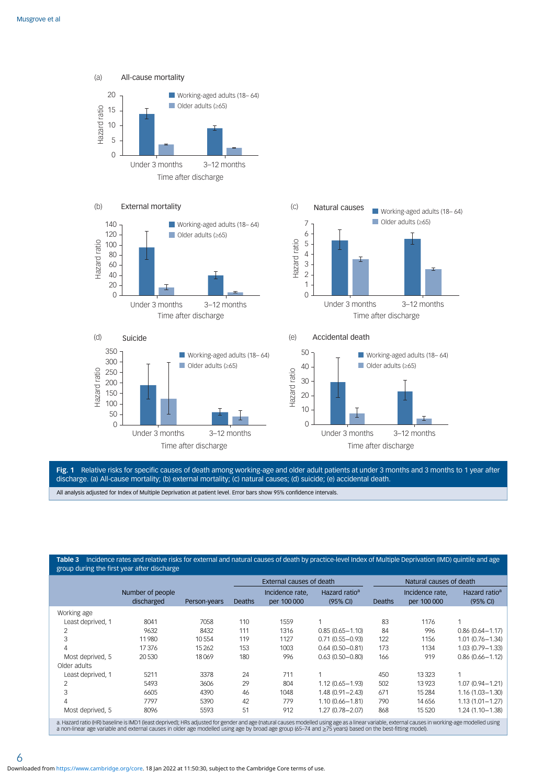<span id="page-5-0"></span>













Fig. 1 Relative risks for specific causes of death among working-age and older adult patients at under 3 months and 3 months to 1 year after discharge. (a) All-cause mortality; (b) external mortality; (c) natural causes; (d) suicide; (e) accidental death.

All analysis adjusted for Index of Multiple Deprivation at patient level. Error bars show 95% confidence intervals.

## Table 3 Incidence rates and relative risks for external and natural causes of death by practice-level Index of Multiple Deprivation (IMD) quintile and age group during the first year after discharge

|                   |                                                                                                                                                                                              |              |               | External causes of death       |                                       |               | Natural causes of death        |                                       |
|-------------------|----------------------------------------------------------------------------------------------------------------------------------------------------------------------------------------------|--------------|---------------|--------------------------------|---------------------------------------|---------------|--------------------------------|---------------------------------------|
|                   | Number of people<br>discharged                                                                                                                                                               | Person-years | <b>Deaths</b> | Incidence rate.<br>per 100 000 | Hazard ratio <sup>a</sup><br>(95% CI) | <b>Deaths</b> | Incidence rate.<br>per 100 000 | Hazard ratio <sup>a</sup><br>(95% CI) |
| Working age       |                                                                                                                                                                                              |              |               |                                |                                       |               |                                |                                       |
| Least deprived, 1 | 8041                                                                                                                                                                                         | 7058         | 110           | 1559                           |                                       | 83            | 1176                           |                                       |
| 2                 | 9632                                                                                                                                                                                         | 8432         | 111           | 1316                           | $0.85(0.65 - 1.10)$                   | 84            | 996                            | $0.86(0.64 - 1.17)$                   |
| 3                 | 11980                                                                                                                                                                                        | 10554        | 119           | 1127                           | $0.71(0.55 - 0.93)$                   | 122           | 1156                           | $1.01(0.76 - 1.34)$                   |
| 4                 | 17376                                                                                                                                                                                        | 15262        | 153           | 1003                           | $0.64(0.50 - 0.81)$                   | 173           | 1134                           | $1.03(0.79 - 1.33)$                   |
| Most deprived, 5  | 20530                                                                                                                                                                                        | 18069        | 180           | 996                            | $0.63(0.50 - 0.80)$                   | 166           | 919                            | $0.86(0.66 - 1.12)$                   |
| Older adults      |                                                                                                                                                                                              |              |               |                                |                                       |               |                                |                                       |
| Least deprived, 1 | 5211                                                                                                                                                                                         | 3378         | 24            | 711                            |                                       | 450           | 13323                          |                                       |
| 2                 | 5493                                                                                                                                                                                         | 3606         | 29            | 804                            | $1.12(0.65 - 1.93)$                   | 502           | 13923                          | $1.07(0.94 - 1.21)$                   |
| 3                 | 6605                                                                                                                                                                                         | 4390         | 46            | 1048                           | $1.48(0.91 - 2.43)$                   | 671           | 15 2 84                        | $1.16(1.03 - 1.30)$                   |
| 4                 | 7797                                                                                                                                                                                         | 5390         | 42            | 779                            | $1.10(0.66 - 1.81)$                   | 790           | 14 6 5 6                       | $1.13(1.01 - 1.27)$                   |
| Most deprived, 5  | 8096                                                                                                                                                                                         | 5593         | 51            | 912                            | $1.27(0.78 - 2.07)$                   | 868           | 15 5 20                        | $1.24(1.10 - 1.38)$                   |
|                   | e Hazard ratio (HR) basoline is IMD1 (least denrived); HRs adjusted for gender and age (natural causes modelled using age as a linear variable external causes in working age modelled using |              |               |                                |                                       |               |                                |                                       |

a. Hazard ratio (HR) baseline is IMD1 (least deprived); HRs adjusted for gender and age (natural causes modelled using age as a linear variable, external causes in working-age modelled using<br>a non-linear age variable and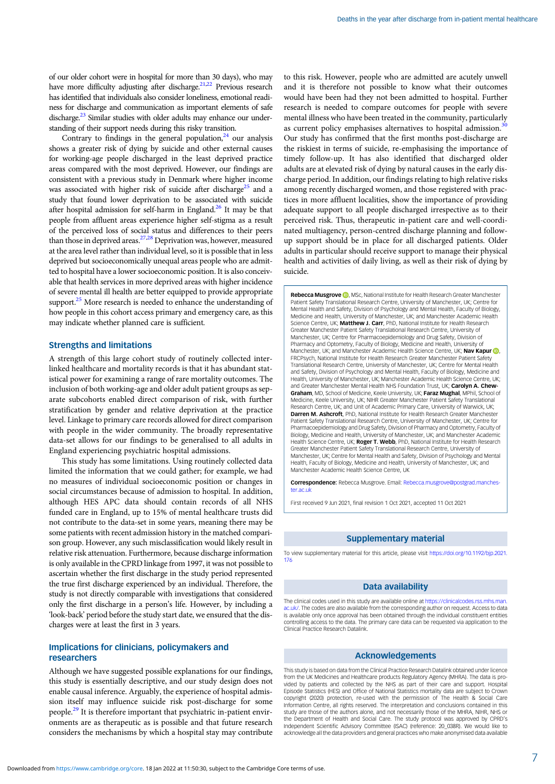of our older cohort were in hospital for more than 30 days), who may have more difficulty adjusting after discharge.<sup>21,[22](#page-7-0)</sup> Previous research has identified that individuals also consider loneliness, emotional readiness for discharge and communication as important elements of safe discharge.<sup>23</sup> Similar studies with older adults may enhance our understanding of their support needs during this risky transition.

Contrary to findings in the general population,  $24$  our analysis shows a greater risk of dying by suicide and other external causes for working-age people discharged in the least deprived practice areas compared with the most deprived. However, our findings are consistent with a previous study in Denmark where higher income was associated with higher risk of suicide after discharge<sup>25</sup> and a study that found lower deprivation to be associated with suicide after hospital admission for self-harm in England. $^{26}$  It may be that people from affluent areas experience higher self-stigma as a result of the perceived loss of social status and differences to their peers than those in deprived areas.<sup>27,[28](#page-7-0)</sup> Deprivation was, however, measured at the area level rather than individual level, so it is possible that in less deprived but socioeconomically unequal areas people who are admitted to hospital have a lower socioeconomic position. It is also conceivable that health services in more deprived areas with higher incidence of severe mental ill health are better equipped to provide appropriate support. $25$  More research is needed to enhance the understanding of how people in this cohort access primary and emergency care, as this may indicate whether planned care is sufficient.

## Strengths and limitations

A strength of this large cohort study of routinely collected interlinked healthcare and mortality records is that it has abundant statistical power for examining a range of rare mortality outcomes. The inclusion of both working-age and older adult patient groups as separate subcohorts enabled direct comparison of risk, with further stratification by gender and relative deprivation at the practice level. Linkage to primary care records allowed for direct comparison with people in the wider community. The broadly representative data-set allows for our findings to be generalised to all adults in England experiencing psychiatric hospital admissions.

This study has some limitations. Using routinely collected data limited the information that we could gather; for example, we had no measures of individual socioeconomic position or changes in social circumstances because of admission to hospital. In addition, although HES APC data should contain records of all NHS funded care in England, up to 15% of mental healthcare trusts did not contribute to the data-set in some years, meaning there may be some patients with recent admission history in the matched comparison group. However, any such misclassification would likely result in relative risk attenuation. Furthermore, because discharge information is only available in the CPRD linkage from 1997, it was not possible to ascertain whether the first discharge in the study period represented the true first discharge experienced by an individual. Therefore, the study is not directly comparable with investigations that considered only the first discharge in a person's life. However, by including a 'look-back' period before the study start date, we ensured that the discharges were at least the first in 3 years.

# Implications for clinicians, policymakers and researchers

Although we have suggested possible explanations for our findings, this study is essentially descriptive, and our study design does not enable causal inference. Arguably, the experience of hospital admission itself may influence suicide risk post-discharge for some people.[29](#page-7-0) It is therefore important that psychiatric in-patient environments are as therapeutic as is possible and that future research considers the mechanisms by which a hospital stay may contribute

to this risk. However, people who are admitted are acutely unwell and it is therefore not possible to know what their outcomes would have been had they not been admitted to hospital. Further research is needed to compare outcomes for people with severe mental illness who have been treated in the community, particularly as current policy emphasises alternatives to hospital admission.<sup>[30](#page-7-0)</sup> Our study has confirmed that the first months post-discharge are the riskiest in terms of suicide, re-emphasising the importance of timely follow-up. It has also identified that discharged older adults are at elevated risk of dying by natural causes in the early discharge period. In addition, our findings relating to high relative risks among recently discharged women, and those registered with practices in more affluent localities, show the importance of providing adequate support to all people discharged irrespective as to their perceived risk. Thus, therapeutic in-patient care and well-coordinated multiagency, person-centred discharge planning and followup support should be in place for all discharged patients. Older adults in particular should receive support to manage their physical health and activities of daily living, as well as their risk of dying by suicide.

**Rebecca Musgrove D**, MSc, National Institute for Health Research Greater Manchester Patient Safety Translational Research Centre, University of Manchester, UK; Centre for Mental Health and Safety, Division of Psychology and Mental Health, Faculty of Biology, Medicine and Health, University of Manchester, UK; and Manchester Academic Health Science Centre, UK; Matthew J. Carr, PhD, National Institute for Health Research Greater Manchester Patient Safety Translational Research Centre, University of Manchester, UK; Centre for Pharmacoepidemiology and Drug Safety, Division of Pharmacy and Optometry, Faculty of Biology, Medicine and Health, University of Manchester[,](https://orcid.org/0000-0002-3100-3234) UK; and Manchester Academic Health Science Centre, UK; Nav Kapur ID FRCPsych, National Institute for Health Research Greater Manchester Patient Safety Translational Research Centre, University of Manchester, UK; Centre for Mental Health and Safety, Division of Psychology and Mental Health, Faculty of Biology, Medicine and Health, University of Manchester, UK; Manchester Academic Health Science Centre, UK; and Greater Manchester Mental Health NHS Foundation Trust, UK; Carolyn A. Chew-Graham, MD, School of Medicine, Keele University, UK; Faraz Mughal, MPhil, School of Medicine, Keele University, UK; NIHR Greater Manchester Patient Safety Translational Research Centre, UK; and Unit of Academic Primary Care, University of Warwick, UK; Darren M. Ashcroft, PhD, National Institute for Health Research Greater Manchester Patient Safety Translational Research Centre, University of Manchester, UK; Centre for Pharmacoepidemiology and Drug Safety, Division of Pharmacy and Optometry, Faculty of Biology, Medicine and Health, University of Manchester, UK; and Manchester Academic Health Science Centre, UK; Roger T. Webb, PhD, National Institute for Health Research Greater Manchester Patient Safety Translational Research Centre, University of Manchester, UK; Centre for Mental Health and Safety, Division of Psychology and Mental Health, Faculty of Biology, Medicine and Health, University of Manchester, UK; and Manchester Academic Health Science Centre, UK

Correspondence: Rebecca Musgrove. Email: [Rebecca.musgrove@postgrad.manches](mailto:Rebecca.musgrove@postgrad.manchester.ac.uk)[ter.ac.uk](mailto:Rebecca.musgrove@postgrad.manchester.ac.uk)

First received 9 Jun 2021, final revision 1 Oct 2021, accepted 11 Oct 2021

## Supplementary material

To view supplementary material for this article, please visit [https://doi.org/10.1192/bjp.2021.](https://doi.org/10.1192/bjp.2021.176) [176](https://doi.org/10.1192/bjp.2021.176)

### Data availability

The clinical codes used in this study are available online at [https://clinicalcodes.rss.mhs.man.](https://clinicalcodes.rss.mhs.man.ac.uk/) [ac.uk/](https://clinicalcodes.rss.mhs.man.ac.uk/). The codes are also available from the corresponding author on request. Access to data is available only once approval has been obtained through the individual constituent entities controlling access to the data. The primary care data can be requested via application to the Clinical Practice Research Datalink.

## Acknowledgements

This study is based on data from the Clinical Practice Research Datalink obtained under licence from the UK Medicines and Healthcare products Regulatory Agency (MHRA). The data is provided by patients and collected by the NHS as part of their care and support. Hospital Episode Statistics (HES) and Office of National Statistics mortality data are subject to Crown copyright (2020) protection, re-used with the permission of The Health & Social Care Information Centre, all rights reserved. The interpretation and conclusions contained in this study are those of the authors alone, and not necessarily those of the MHRA, NIHR, NHS or the Department of Health and Social Care. The study protocol was approved by CPRD's Independent Scientific Advisory Committee (ISAC) (reference: 20\_038R). We would like to acknowledge all the data providers and general practices who make anonymised data available